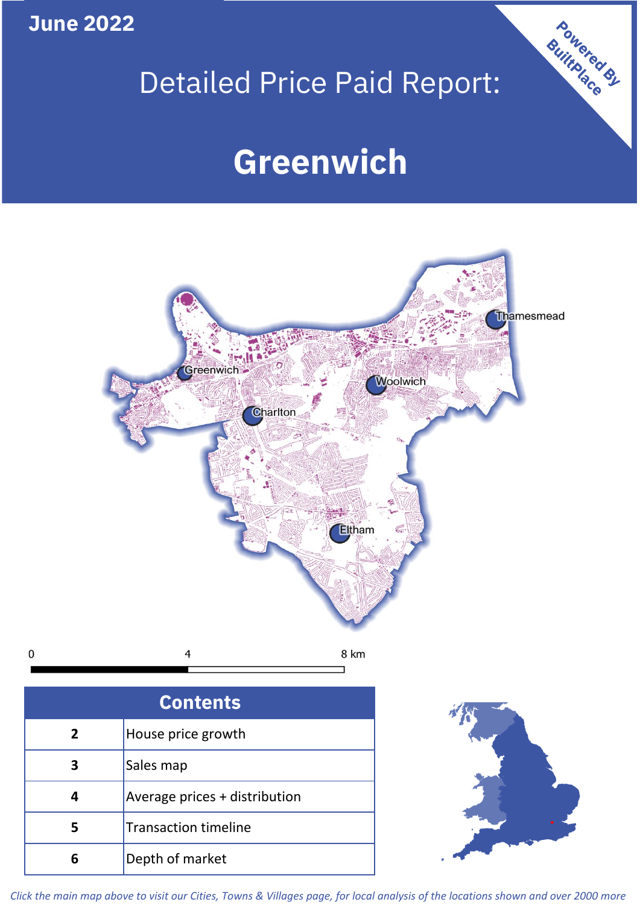**June 2022**

**5**

 $\mathbf 0$ 

Transaction timeline

**6** Depth of market

# Detailed Price Paid Report:

Powered By

# **Greenwich**



*Click the main map above to visit our Cities, Towns & Villages page, for local analysis of the locations shown and over 2000 more*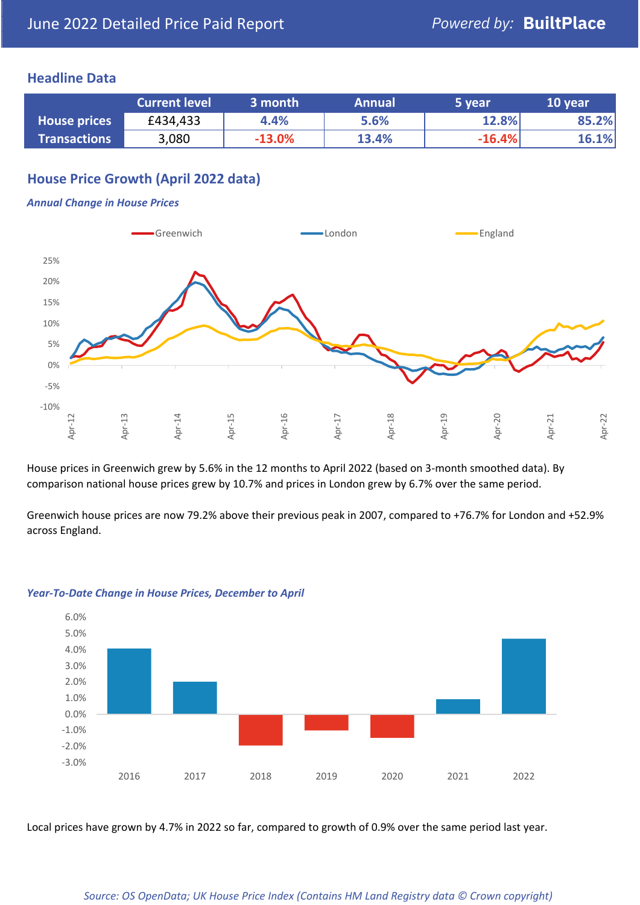### **Headline Data**

|                     | <b>Current level</b> | 3 month  | <b>Annual</b> | 5 year   | 10 year |
|---------------------|----------------------|----------|---------------|----------|---------|
| <b>House prices</b> | £434,433             | 4.4%     | 5.6%          | 12.8%    | 85.2%   |
| <b>Transactions</b> | 3,080                | $-13.0%$ | 13.4%         | $-16.4%$ | 16.1%   |

# **House Price Growth (April 2022 data)**

#### *Annual Change in House Prices*



House prices in Greenwich grew by 5.6% in the 12 months to April 2022 (based on 3-month smoothed data). By comparison national house prices grew by 10.7% and prices in London grew by 6.7% over the same period.

Greenwich house prices are now 79.2% above their previous peak in 2007, compared to +76.7% for London and +52.9% across England.



#### *Year-To-Date Change in House Prices, December to April*

Local prices have grown by 4.7% in 2022 so far, compared to growth of 0.9% over the same period last year.

#### *Source: OS OpenData; UK House Price Index (Contains HM Land Registry data © Crown copyright)*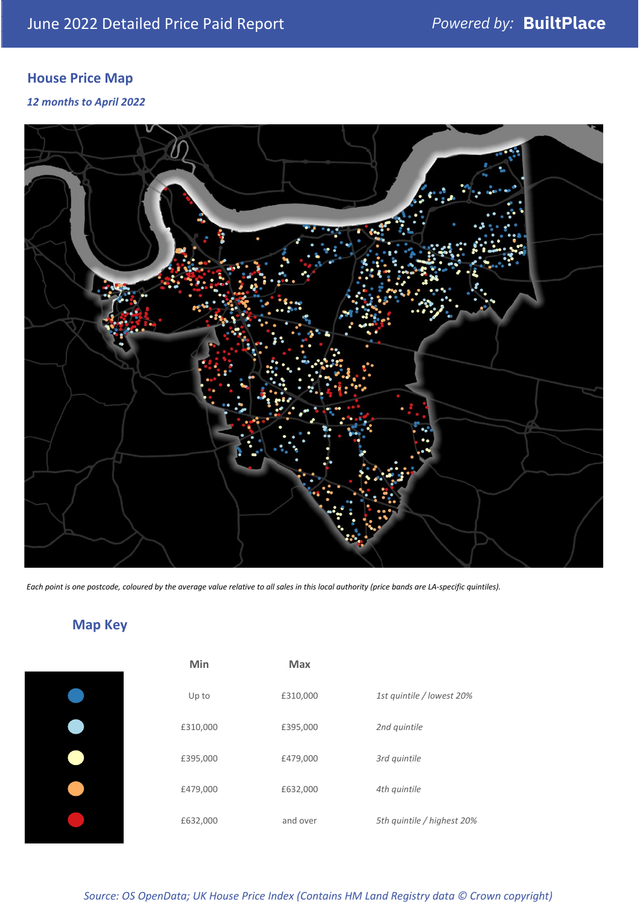# **House Price Map**

*12 months to April 2022*



*Each point is one postcode, coloured by the average value relative to all sales in this local authority (price bands are LA-specific quintiles).*

# **Map Key**

| Min      | Max      |                            |
|----------|----------|----------------------------|
| Up to    | £310,000 | 1st quintile / lowest 20%  |
| £310,000 | £395,000 | 2nd quintile               |
| £395,000 | £479,000 | 3rd quintile               |
| £479,000 | £632,000 | 4th quintile               |
| £632,000 | and over | 5th quintile / highest 20% |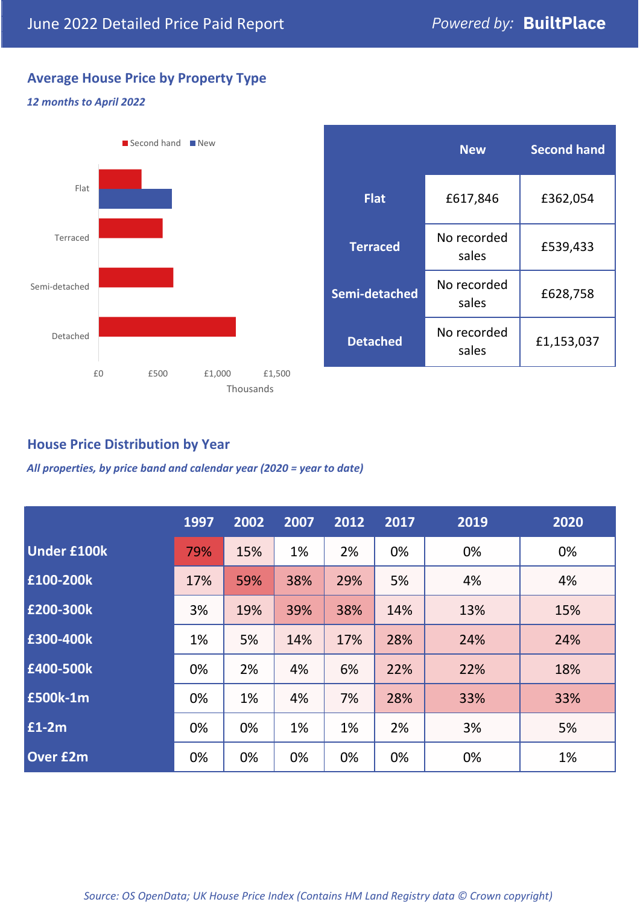# **Average House Price by Property Type**

#### *12 months to April 2022*



|                 | <b>New</b>           | <b>Second hand</b> |  |  |
|-----------------|----------------------|--------------------|--|--|
| <b>Flat</b>     | £617,846             | £362,054           |  |  |
| <b>Terraced</b> | No recorded<br>sales | £539,433           |  |  |
| Semi-detached   | No recorded<br>sales | £628,758           |  |  |
| <b>Detached</b> | No recorded<br>sales | £1,153,037         |  |  |

## **House Price Distribution by Year**

*All properties, by price band and calendar year (2020 = year to date)*

|                    | 1997 | 2002 | 2007 | 2012 | 2017 | 2019 | 2020 |
|--------------------|------|------|------|------|------|------|------|
| <b>Under £100k</b> | 79%  | 15%  | 1%   | 2%   | 0%   | 0%   | 0%   |
| £100-200k          | 17%  | 59%  | 38%  | 29%  | 5%   | 4%   | 4%   |
| £200-300k          | 3%   | 19%  | 39%  | 38%  | 14%  | 13%  | 15%  |
| £300-400k          | 1%   | 5%   | 14%  | 17%  | 28%  | 24%  | 24%  |
| £400-500k          | 0%   | 2%   | 4%   | 6%   | 22%  | 22%  | 18%  |
| <b>£500k-1m</b>    | 0%   | 1%   | 4%   | 7%   | 28%  | 33%  | 33%  |
| £1-2m              | 0%   | 0%   | 1%   | 1%   | 2%   | 3%   | 5%   |
| <b>Over £2m</b>    | 0%   | 0%   | 0%   | 0%   | 0%   | 0%   | 1%   |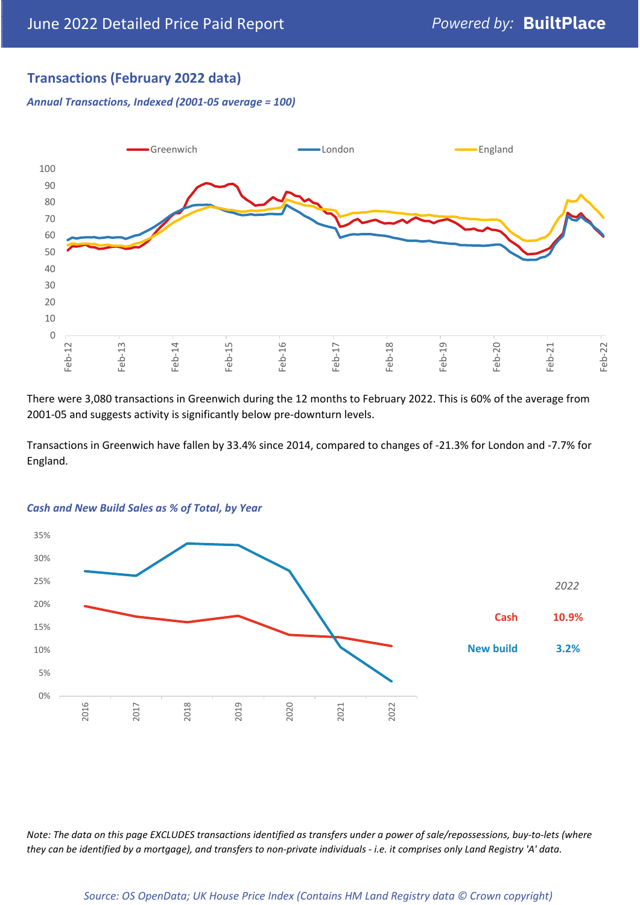# **Transactions (February 2022 data)**

*Annual Transactions, Indexed (2001-05 average = 100)*



There were 3,080 transactions in Greenwich during the 12 months to February 2022. This is 60% of the average from 2001-05 and suggests activity is significantly below pre-downturn levels.

Transactions in Greenwich have fallen by 33.4% since 2014, compared to changes of -21.3% for London and -7.7% for England.



#### *Cash and New Build Sales as % of Total, by Year*

*Note: The data on this page EXCLUDES transactions identified as transfers under a power of sale/repossessions, buy-to-lets (where they can be identified by a mortgage), and transfers to non-private individuals - i.e. it comprises only Land Registry 'A' data.*